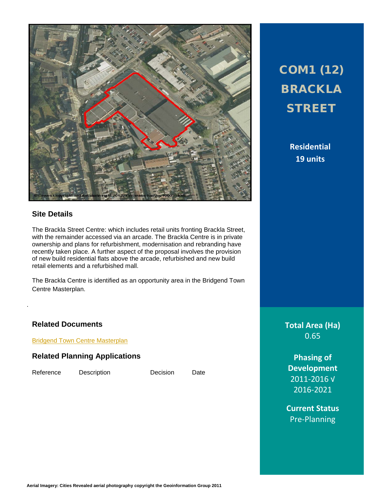

#### **Site Details**

The Brackla Street Centre: which includes retail units fronting Brackla Street, with the remainder accessed via an arcade. The Brackla Centre is in private ownership and plans for refurbishment, modernisation and rebranding have recently taken place. A further aspect of the proposal involves the provision of new build residential flats above the arcade, refurbished and new build retail elements and a refurbished mall.

The Brackla Centre is identified as an opportunity area in the Bridgend Town Centre Masterplan.

#### **Related Documents**

.

**[Bridgend Town Centre Masterplan](http://www1.bridgend.gov.uk/services/planning/supplementary-planning-guidance-(spg)/bridgend-town-centre-masterplan.aspx)** 

#### **Related Planning Applications**

Reference Description Decision Date

# COM1 (12) BRACKLA **STREET**

**Residential 19 units**

**Total Area (Ha)** 0.65

**Phasing of Development** 2011-2016 √ 2016-2021

**Current Status** Pre-Planning